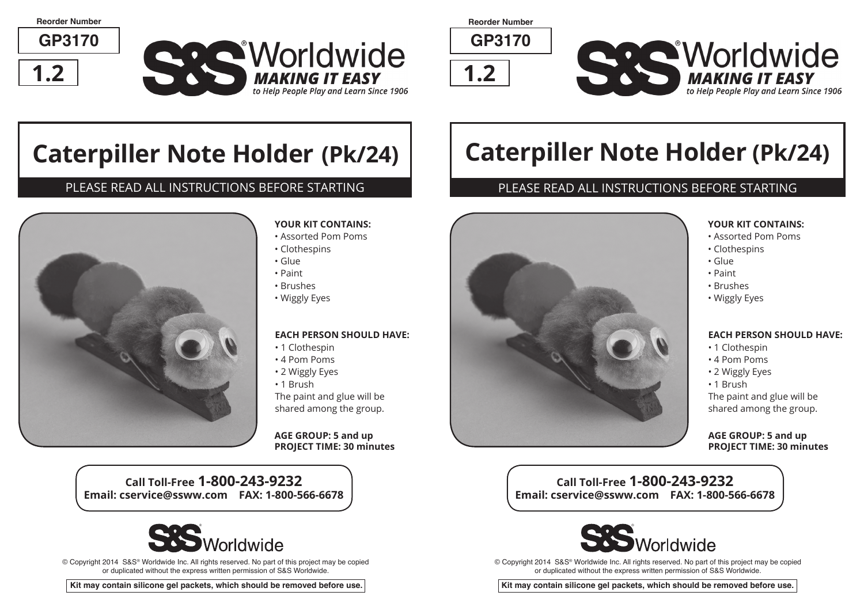**Reorder Number**

**GP3170**





**Reorder Number**

**GP3170**





# **Caterpiller Note Holder (Pk/24)**

## PLEASE READ ALL INSTRUCTIONS BEFORE STARTING



#### **YOUR KIT CONTAINS:**

- Assorted Pom Poms
- Clothespins
- Glue
- Paint
- Brushes
- Wiggly Eyes

#### **EACH PERSON SHOULD HAVE:**

- 1 Clothespin
- 4 Pom Poms
- 2 Wiggly Eyes
- 1 Brush

The paint and glue will be shared among the group.

#### **AGE GROUP: 5 and up PROJECT TIME: 30 minutes**

**Call Toll-Free 1-800-243-9232 Email: cservice@ssww.com FAX: 1-800-566-6678**



© Copyright 2014 S&S® Worldwide Inc. All rights reserved. No part of this project may be copied or duplicated without the express written permission of S&S Worldwide.

**Kit may contain silicone gel packets, which should be removed before use.**

# **Caterpiller Note Holder (Pk/24)**

## PLEASE READ ALL INSTRUCTIONS BEFORE STARTING



#### **YOUR KIT CONTAINS:**

- Assorted Pom Poms
- Clothespins
- Glue
- Paint
- Brushes
- Wiggly Eyes

#### **EACH PERSON SHOULD HAVE:**

- 1 Clothespin
- 4 Pom Poms
- 2 Wiggly Eyes
- 1 Brush

The paint and glue will be shared among the group.

#### **AGE GROUP: 5 and up PROJECT TIME: 30 minutes**

**Call Toll-Free 1-800-243-9232 Email: cservice@ssww.com FAX: 1-800-566-6678**



© Copyright 2014 S&S® Worldwide Inc. All rights reserved. No part of this project may be copied or duplicated without the express written permission of S&S Worldwide.

**Kit may contain silicone gel packets, which should be removed before use.**